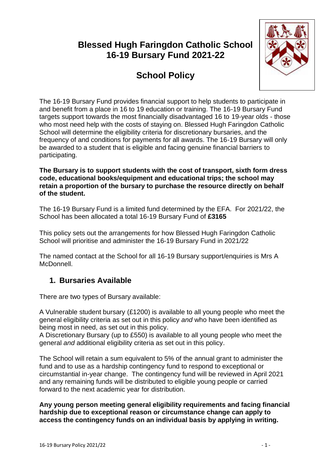## **Blessed Hugh Faringdon Catholic School 16-19 Bursary Fund 2021-22**

# **School Policy**



The 16-19 Bursary Fund provides financial support to help students to participate in and benefit from a place in 16 to 19 education or training. The 16-19 Bursary Fund targets support towards the most financially disadvantaged 16 to 19-year olds - those who most need help with the costs of staying on. Blessed Hugh Faringdon Catholic School will determine the eligibility criteria for discretionary bursaries, and the frequency of and conditions for payments for all awards. The 16-19 Bursary will only be awarded to a student that is eligible and facing genuine financial barriers to participating.

**The Bursary is to support students with the cost of transport, sixth form dress code, educational books/equipment and educational trips; the school may retain a proportion of the bursary to purchase the resource directly on behalf of the student.**

The 16-19 Bursary Fund is a limited fund determined by the EFA. For 2021/22, the School has been allocated a total 16-19 Bursary Fund of **£3165**

This policy sets out the arrangements for how Blessed Hugh Faringdon Catholic School will prioritise and administer the 16-19 Bursary Fund in 2021/22

The named contact at the School for all 16-19 Bursary support/enquiries is Mrs A McDonnell.

### **1. Bursaries Available**

There are two types of Bursary available:

A Vulnerable student bursary (£1200) is available to all young people who meet the general eligibility criteria as set out in this policy *and* who have been identified as being most in need, as set out in this policy.

A Discretionary Bursary (up to £550) is available to all young people who meet the general *and* additional eligibility criteria as set out in this policy.

The School will retain a sum equivalent to 5% of the annual grant to administer the fund and to use as a hardship contingency fund to respond to exceptional or circumstantial in-year change. The contingency fund will be reviewed in April 2021 and any remaining funds will be distributed to eligible young people or carried forward to the next academic year for distribution.

**Any young person meeting general eligibility requirements and facing financial hardship due to exceptional reason or circumstance change can apply to access the contingency funds on an individual basis by applying in writing.**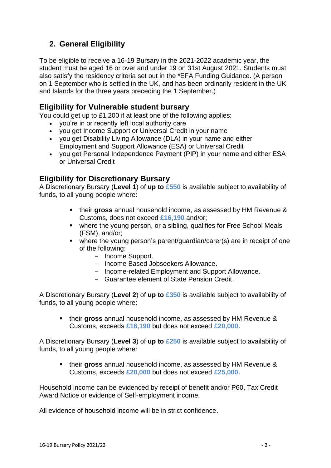### **2. General Eligibility**

To be eligible to receive a 16-19 Bursary in the 2021-2022 academic year, the student must be aged 16 or over and under 19 on 31st August 2021. Students must also satisfy the residency criteria set out in the \*EFA Funding Guidance. (A person on 1 September who is settled in the UK, and has been ordinarily resident in the UK and Islands for the three years preceding the 1 September.)

#### **Eligibility for Vulnerable student bursary**

You could get up to £1,200 if at least one of the following applies:

- you're in or recently left local authority care
- you get Income Support or Universal Credit in your name
- you get Disability Living Allowance (DLA) in your name and either Employment and Support Allowance (ESA) or Universal Credit
- you get Personal Independence Payment (PIP) in your name and either ESA or Universal Credit

#### **Eligibility for Discretionary Bursary**

A Discretionary Bursary (**Level 1**) of **up to £550** is available subject to availability of funds, to all young people where:

- their **gross** annual household income, as assessed by HM Revenue & Customs, does not exceed **£16,190** and/or;
- where the young person, or a sibling, qualifies for Free School Meals (FSM), and/or;
- where the young person's parent/guardian/carer(s) are in receipt of one of the following:
	- Income Support.
	- Income Based Jobseekers Allowance.
	- Income-related Employment and Support Allowance.
	- Guarantee element of State Pension Credit.

A Discretionary Bursary (**Level 2**) of **up to £350** is available subject to availability of funds, to all young people where:

■ their gross annual household income, as assessed by HM Revenue & Customs, exceeds **£16,190** but does not exceed **£20,000.**

A Discretionary Bursary (**Level 3**) of **up to £250** is available subject to availability of funds, to all young people where:

▪ their **gross** annual household income, as assessed by HM Revenue & Customs, exceeds **£20,000** but does not exceed **£25,000.**

Household income can be evidenced by receipt of benefit and/or P60, Tax Credit Award Notice or evidence of Self-employment income.

All evidence of household income will be in strict confidence.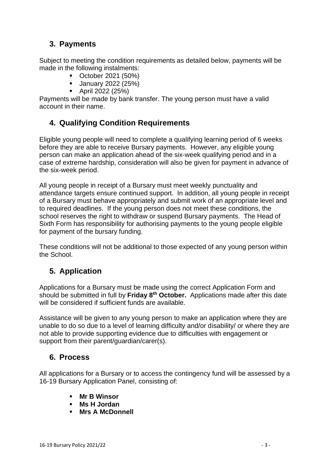### **3. Payments**

Subject to meeting the condition requirements as detailed below, payments will be made in the following instalments:

- October 2021 (50%)
- **•** January 2022 (25%)
- April 2022 (25%)

Payments will be made by bank transfer. The young person must have a valid account in their name.

### **4. Qualifying Condition Requirements**

Eligible young people will need to complete a qualifying learning period of 6 weeks before they are able to receive Bursary payments. However, any eligible young person can make an application ahead of the six-week qualifying period and in a case of extreme hardship, consideration will also be given for payment in advance of the six-week period.

All young people in receipt of a Bursary must meet weekly punctuality and attendance targets ensure continued support. In addition, all young people in receipt of a Bursary must behave appropriately and submit work of an appropriate level and to required deadlines. If the young person does not meet these conditions, the school reserves the right to withdraw or suspend Bursary payments. The Head of Sixth Form has responsibility for authorising payments to the young people eligible for payment of the bursary funding.

These conditions will not be additional to those expected of any young person within the School.

### **5. Application**

Applications for a Bursary must be made using the correct Application Form and should be submitted in full by **Friday 8 th October.** Applications made after this date will be considered if sufficient funds are available.

Assistance will be given to any young person to make an application where they are unable to do so due to a level of learning difficulty and/or disability/ or where they are not able to provide supporting evidence due to difficulties with engagement or support from their parent/guardian/carer(s).

#### **6. Process**

All applications for a Bursary or to access the contingency fund will be assessed by a 16-19 Bursary Application Panel, consisting of:

- **Mr B Winsor**
- **Ms H Jordan**
- **Mrs A McDonnell**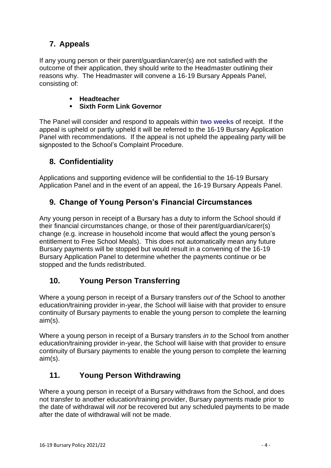### **7. Appeals**

If any young person or their parent/guardian/carer(s) are not satisfied with the outcome of their application, they should write to the Headmaster outlining their reasons why. The Headmaster will convene a 16-19 Bursary Appeals Panel, consisting of:

- **Headteacher**
- **Sixth Form Link Governor**

The Panel will consider and respond to appeals within **two weeks** of receipt. If the appeal is upheld or partly upheld it will be referred to the 16-19 Bursary Application Panel with recommendations. If the appeal is not upheld the appealing party will be signposted to the School's Complaint Procedure.

#### **8. Confidentiality**

Applications and supporting evidence will be confidential to the 16-19 Bursary Application Panel and in the event of an appeal, the 16-19 Bursary Appeals Panel.

### **9. Change of Young Person's Financial Circumstances**

Any young person in receipt of a Bursary has a duty to inform the School should if their financial circumstances change, or those of their parent/guardian/carer(s) change (e.g. increase in household income that would affect the young person's entitlement to Free School Meals). This does not automatically mean any future Bursary payments will be stopped but would result in a convening of the 16-19 Bursary Application Panel to determine whether the payments continue or be stopped and the funds redistributed.

### **10. Young Person Transferring**

Where a young person in receipt of a Bursary transfers *out of* the School to another education/training provider in-year, the School will liaise with that provider to ensure continuity of Bursary payments to enable the young person to complete the learning aim(s).

Where a young person in receipt of a Bursary transfers *in to* the School from another education/training provider in-year, the School will liaise with that provider to ensure continuity of Bursary payments to enable the young person to complete the learning aim(s).

### **11. Young Person Withdrawing**

Where a young person in receipt of a Bursary withdraws from the School, and does not transfer to another education/training provider, Bursary payments made prior to the date of withdrawal will *not* be recovered but any scheduled payments to be made after the date of withdrawal will not be made.